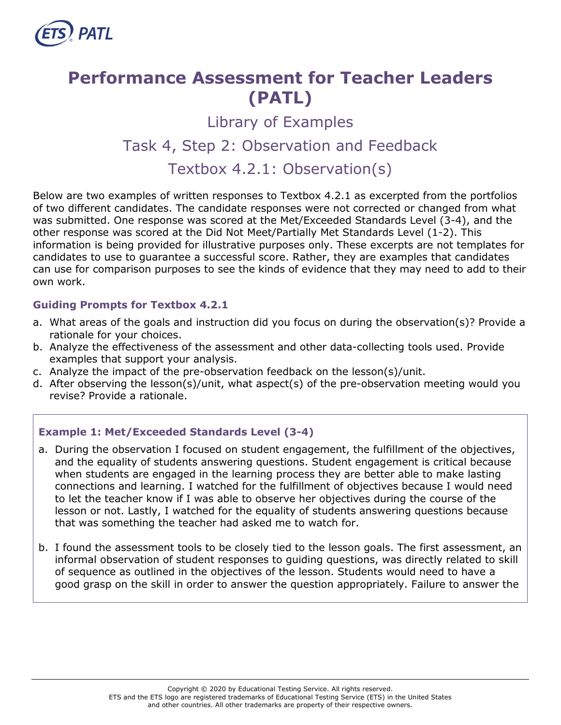

# **Performance Assessment for Teacher Leaders (PATL)**

Library of Examples

# Task 4, Step 2: Observation and Feedback

Textbox 4.2.1: Observation(s)

Below are two examples of written responses to Textbox 4.2.1 as excerpted from the portfolios of two different candidates. The candidate responses were not corrected or changed from what was submitted. One response was scored at the Met/Exceeded Standards Level (3-4), and the other response was scored at the Did Not Meet/Partially Met Standards Level (1-2). This information is being provided for illustrative purposes only. These excerpts are not templates for candidates to use to guarantee a successful score. Rather, they are examples that candidates can use for comparison purposes to see the kinds of evidence that they may need to add to their own work.

#### **Guiding Prompts for Textbox 4.2.1**

- a. What areas of the goals and instruction did you focus on during the observation(s)? Provide a rationale for your choices.
- b. Analyze the effectiveness of the assessment and other data-collecting tools used. Provide examples that support your analysis.
- c. Analyze the impact of the pre-observation feedback on the lesson(s)/unit.
- d. After observing the lesson(s)/unit, what aspect(s) of the pre-observation meeting would you revise? Provide a rationale.

# **Example 1: Met/Exceeded Standards Level (3-4)**

- a. During the observation I focused on student engagement, the fulfillment of the objectives, and the equality of students answering questions. Student engagement is critical because when students are engaged in the learning process they are better able to make lasting connections and learning. I watched for the fulfillment of objectives because I would need to let the teacher know if I was able to observe her objectives during the course of the lesson or not. Lastly, I watched for the equality of students answering questions because that was something the teacher had asked me to watch for.
- b. I found the assessment tools to be closely tied to the lesson goals. The first assessment, an informal observation of student responses to guiding questions, was directly related to skill of sequence as outlined in the objectives of the lesson. Students would need to have a good grasp on the skill in order to answer the question appropriately. Failure to answer the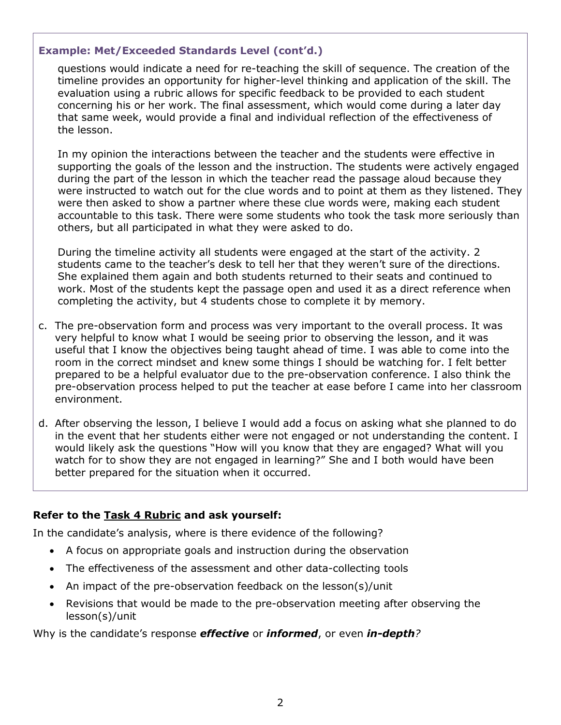#### **Example: Met/Exceeded Standards Level (cont'd.)**

questions would indicate a need for re-teaching the skill of sequence. The creation of the timeline provides an opportunity for higher-level thinking and application of the skill. The evaluation using a rubric allows for specific feedback to be provided to each student concerning his or her work. The final assessment, which would come during a later day that same week, would provide a final and individual reflection of the effectiveness of the lesson.

In my opinion the interactions between the teacher and the students were effective in supporting the goals of the lesson and the instruction. The students were actively engaged during the part of the lesson in which the teacher read the passage aloud because they were instructed to watch out for the clue words and to point at them as they listened. They were then asked to show a partner where these clue words were, making each student accountable to this task. There were some students who took the task more seriously than others, but all participated in what they were asked to do.

During the timeline activity all students were engaged at the start of the activity. 2 students came to the teacher's desk to tell her that they weren't sure of the directions. She explained them again and both students returned to their seats and continued to work. Most of the students kept the passage open and used it as a direct reference when completing the activity, but 4 students chose to complete it by memory.

- c. The pre-observation form and process was very important to the overall process. It was very helpful to know what I would be seeing prior to observing the lesson, and it was useful that I know the objectives being taught ahead of time. I was able to come into the room in the correct mindset and knew some things I should be watching for. I felt better prepared to be a helpful evaluator due to the pre-observation conference. I also think the pre-observation process helped to put the teacher at ease before I came into her classroom environment.
- d. After observing the lesson, I believe I would add a focus on asking what she planned to do in the event that her students either were not engaged or not understanding the content. I would likely ask the questions "How will you know that they are engaged? What will you watch for to show they are not engaged in learning?" She and I both would have been better prepared for the situation when it occurred.

# **Refer to the [Task 4](http://gace.ets.org/s/pdf/gace_teacher_leadership_assessment_task_4_rubric.pdf) Rubric and ask yourself:**

In the candidate's analysis, where is there evidence of the following?

- A focus on appropriate goals and instruction during the observation
- The effectiveness of the assessment and other data-collecting tools
- An impact of the pre-observation feedback on the lesson(s)/unit
- Revisions that would be made to the pre-observation meeting after observing the lesson(s)/unit

Why is the candidate's response *effective* or *informed*, or even *in-depth?*